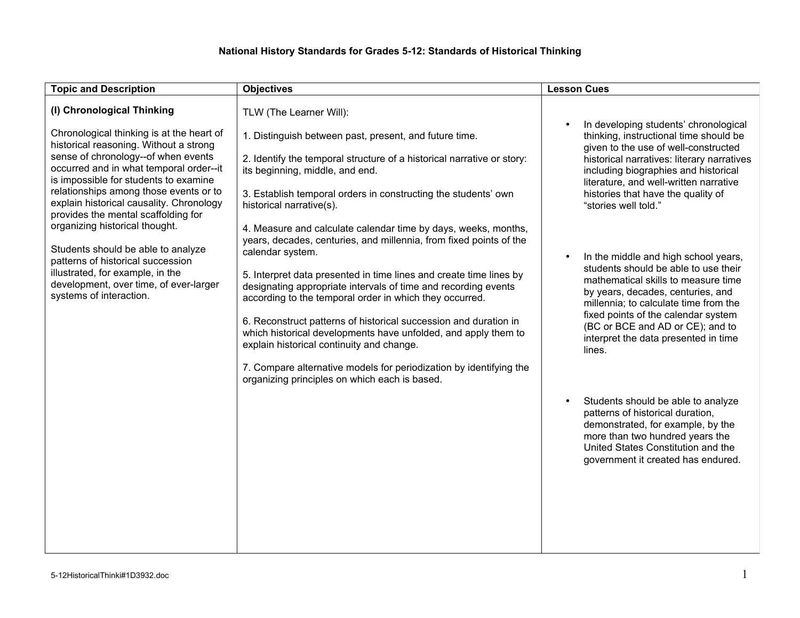## **National History Standards for Grades 5-12: Standards of Historical Thinking**

| <b>Topic and Description</b>                                                                                                                                                                                                                                                                                                                | <b>Objectives</b>                                                                                                                                                                                                                                                                                                                                                                                                                                                                                                                                                                                                                                                     | <b>Lesson Cues</b>                                                                                                                                                                                                                                                                                                             |
|---------------------------------------------------------------------------------------------------------------------------------------------------------------------------------------------------------------------------------------------------------------------------------------------------------------------------------------------|-----------------------------------------------------------------------------------------------------------------------------------------------------------------------------------------------------------------------------------------------------------------------------------------------------------------------------------------------------------------------------------------------------------------------------------------------------------------------------------------------------------------------------------------------------------------------------------------------------------------------------------------------------------------------|--------------------------------------------------------------------------------------------------------------------------------------------------------------------------------------------------------------------------------------------------------------------------------------------------------------------------------|
| (I) Chronological Thinking                                                                                                                                                                                                                                                                                                                  | TLW (The Learner Will):                                                                                                                                                                                                                                                                                                                                                                                                                                                                                                                                                                                                                                               |                                                                                                                                                                                                                                                                                                                                |
| Chronological thinking is at the heart of<br>historical reasoning. Without a strong<br>sense of chronology--of when events<br>occurred and in what temporal order--it<br>is impossible for students to examine<br>relationships among those events or to<br>explain historical causality. Chronology<br>provides the mental scaffolding for | 1. Distinguish between past, present, and future time.<br>2. Identify the temporal structure of a historical narrative or story:<br>its beginning, middle, and end.<br>3. Establish temporal orders in constructing the students' own<br>historical narrative(s).                                                                                                                                                                                                                                                                                                                                                                                                     | In developing students' chronological<br>thinking, instructional time should be<br>given to the use of well-constructed<br>historical narratives: literary narratives<br>including biographies and historical<br>literature, and well-written narrative<br>histories that have the quality of<br>"stories well told."          |
| organizing historical thought.<br>Students should be able to analyze<br>patterns of historical succession<br>illustrated, for example, in the<br>development, over time, of ever-larger<br>systems of interaction.                                                                                                                          | 4. Measure and calculate calendar time by days, weeks, months,<br>years, decades, centuries, and millennia, from fixed points of the<br>calendar system.<br>5. Interpret data presented in time lines and create time lines by<br>designating appropriate intervals of time and recording events<br>according to the temporal order in which they occurred.<br>6. Reconstruct patterns of historical succession and duration in<br>which historical developments have unfolded, and apply them to<br>explain historical continuity and change.<br>7. Compare alternative models for periodization by identifying the<br>organizing principles on which each is based. | In the middle and high school years,<br>students should be able to use their<br>mathematical skills to measure time<br>by years, decades, centuries, and<br>millennia; to calculate time from the<br>fixed points of the calendar system<br>(BC or BCE and AD or CE); and to<br>interpret the data presented in time<br>lines. |
|                                                                                                                                                                                                                                                                                                                                             |                                                                                                                                                                                                                                                                                                                                                                                                                                                                                                                                                                                                                                                                       | Students should be able to analyze<br>patterns of historical duration,<br>demonstrated, for example, by the<br>more than two hundred years the<br>United States Constitution and the<br>government it created has endured.                                                                                                     |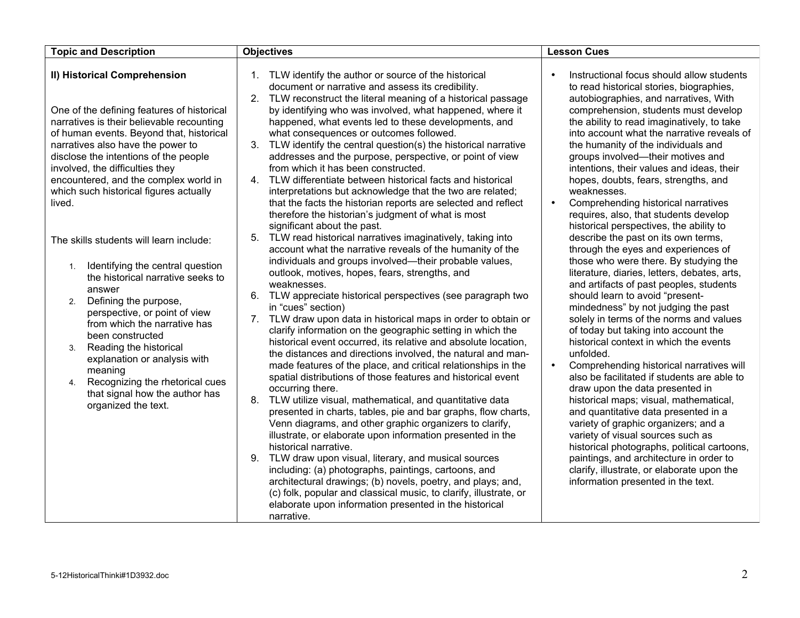| <b>Topic and Description</b>                                                                                                                                                                                                                                                                                                                                                                                                                                                                                                                                                                                                                                                                                                                                                                                           | <b>Objectives</b>                                                                                                                                                                                                                                                                                                                                                                                                                                                                                                                                                                                                                                                                                                                                                                                                                                                                                                                                                                                                                                                                                                                                                                                                                                                                                                                                                                                                                                                                                                                                                                                                                                                                                                                                                                                                                                                                                                                                                                                                                                                                                                                                                                                           | <b>Lesson Cues</b>                                                                                                                                                                                                                                                                                                                                                                                                                                                                                                                                                                                                                                                                                                                                                                                                                                                                                                                                                                                                                                                                                                                                                                                                                                                                                                                                                                                                                                                                             |
|------------------------------------------------------------------------------------------------------------------------------------------------------------------------------------------------------------------------------------------------------------------------------------------------------------------------------------------------------------------------------------------------------------------------------------------------------------------------------------------------------------------------------------------------------------------------------------------------------------------------------------------------------------------------------------------------------------------------------------------------------------------------------------------------------------------------|-------------------------------------------------------------------------------------------------------------------------------------------------------------------------------------------------------------------------------------------------------------------------------------------------------------------------------------------------------------------------------------------------------------------------------------------------------------------------------------------------------------------------------------------------------------------------------------------------------------------------------------------------------------------------------------------------------------------------------------------------------------------------------------------------------------------------------------------------------------------------------------------------------------------------------------------------------------------------------------------------------------------------------------------------------------------------------------------------------------------------------------------------------------------------------------------------------------------------------------------------------------------------------------------------------------------------------------------------------------------------------------------------------------------------------------------------------------------------------------------------------------------------------------------------------------------------------------------------------------------------------------------------------------------------------------------------------------------------------------------------------------------------------------------------------------------------------------------------------------------------------------------------------------------------------------------------------------------------------------------------------------------------------------------------------------------------------------------------------------------------------------------------------------------------------------------------------------|------------------------------------------------------------------------------------------------------------------------------------------------------------------------------------------------------------------------------------------------------------------------------------------------------------------------------------------------------------------------------------------------------------------------------------------------------------------------------------------------------------------------------------------------------------------------------------------------------------------------------------------------------------------------------------------------------------------------------------------------------------------------------------------------------------------------------------------------------------------------------------------------------------------------------------------------------------------------------------------------------------------------------------------------------------------------------------------------------------------------------------------------------------------------------------------------------------------------------------------------------------------------------------------------------------------------------------------------------------------------------------------------------------------------------------------------------------------------------------------------|
| II) Historical Comprehension<br>One of the defining features of historical<br>narratives is their believable recounting<br>of human events. Beyond that, historical<br>narratives also have the power to<br>disclose the intentions of the people<br>involved, the difficulties they<br>encountered, and the complex world in<br>which such historical figures actually<br>lived.<br>The skills students will learn include:<br>Identifying the central question<br>1.<br>the historical narrative seeks to<br>answer<br>Defining the purpose,<br>2.<br>perspective, or point of view<br>from which the narrative has<br>been constructed<br>Reading the historical<br>3.<br>explanation or analysis with<br>meaning<br>Recognizing the rhetorical cues<br>4.<br>that signal how the author has<br>organized the text. | 1. TLW identify the author or source of the historical<br>document or narrative and assess its credibility.<br>TLW reconstruct the literal meaning of a historical passage<br>2.<br>by identifying who was involved, what happened, where it<br>happened, what events led to these developments, and<br>what consequences or outcomes followed.<br>3.<br>TLW identify the central question(s) the historical narrative<br>addresses and the purpose, perspective, or point of view<br>from which it has been constructed.<br>TLW differentiate between historical facts and historical<br>4.<br>interpretations but acknowledge that the two are related;<br>that the facts the historian reports are selected and reflect<br>therefore the historian's judgment of what is most<br>significant about the past.<br>TLW read historical narratives imaginatively, taking into<br>account what the narrative reveals of the humanity of the<br>individuals and groups involved—their probable values,<br>outlook, motives, hopes, fears, strengths, and<br>weaknesses.<br>TLW appreciate historical perspectives (see paragraph two<br>6.<br>in "cues" section)<br>TLW draw upon data in historical maps in order to obtain or<br>7.<br>clarify information on the geographic setting in which the<br>historical event occurred, its relative and absolute location,<br>the distances and directions involved, the natural and man-<br>made features of the place, and critical relationships in the<br>spatial distributions of those features and historical event<br>occurring there.<br>TLW utilize visual, mathematical, and quantitative data<br>8.<br>presented in charts, tables, pie and bar graphs, flow charts,<br>Venn diagrams, and other graphic organizers to clarify,<br>illustrate, or elaborate upon information presented in the<br>historical narrative.<br>TLW draw upon visual, literary, and musical sources<br>9.<br>including: (a) photographs, paintings, cartoons, and<br>architectural drawings; (b) novels, poetry, and plays; and,<br>(c) folk, popular and classical music, to clarify, illustrate, or<br>elaborate upon information presented in the historical<br>narrative. | Instructional focus should allow students<br>to read historical stories, biographies,<br>autobiographies, and narratives, With<br>comprehension, students must develop<br>the ability to read imaginatively, to take<br>into account what the narrative reveals of<br>the humanity of the individuals and<br>groups involved—their motives and<br>intentions, their values and ideas, their<br>hopes, doubts, fears, strengths, and<br>weaknesses.<br>Comprehending historical narratives<br>requires, also, that students develop<br>historical perspectives, the ability to<br>describe the past on its own terms,<br>through the eyes and experiences of<br>those who were there. By studying the<br>literature, diaries, letters, debates, arts,<br>and artifacts of past peoples, students<br>should learn to avoid "present-<br>mindedness" by not judging the past<br>solely in terms of the norms and values<br>of today but taking into account the<br>historical context in which the events<br>unfolded.<br>Comprehending historical narratives will<br>also be facilitated if students are able to<br>draw upon the data presented in<br>historical maps; visual, mathematical,<br>and quantitative data presented in a<br>variety of graphic organizers; and a<br>variety of visual sources such as<br>historical photographs, political cartoons,<br>paintings, and architecture in order to<br>clarify, illustrate, or elaborate upon the<br>information presented in the text. |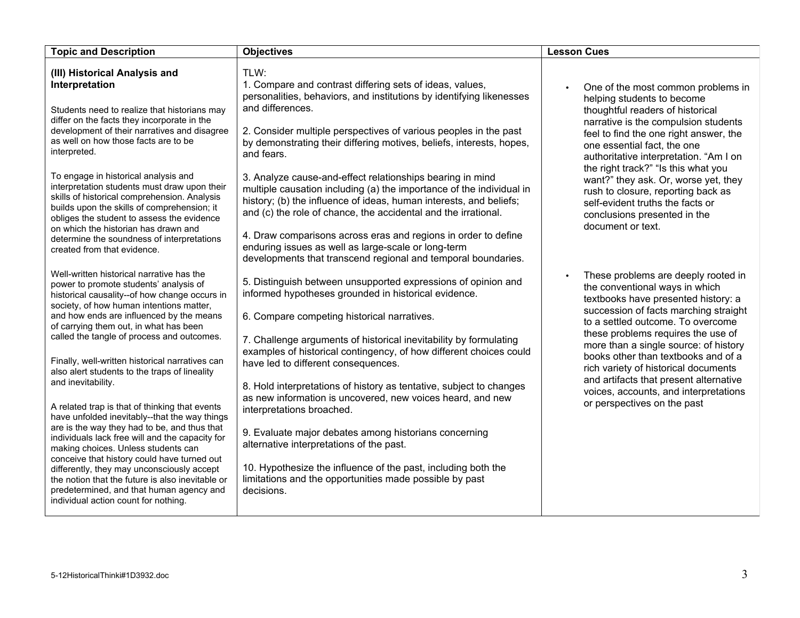| <b>Topic and Description</b>                                                                                                                                                                                                                                                                                                                                                                                                                                                                                                                                                                                                                                                                                                                                                                                                                                                                                                     | <b>Objectives</b>                                                                                                                                                                                                                                                                                                                                                                                                                                                                                                                                                                                                                                                                                                                                                       | <b>Lesson Cues</b>                                                                                                                                                                                                                                                                                                                                                                                                                                                         |
|----------------------------------------------------------------------------------------------------------------------------------------------------------------------------------------------------------------------------------------------------------------------------------------------------------------------------------------------------------------------------------------------------------------------------------------------------------------------------------------------------------------------------------------------------------------------------------------------------------------------------------------------------------------------------------------------------------------------------------------------------------------------------------------------------------------------------------------------------------------------------------------------------------------------------------|-------------------------------------------------------------------------------------------------------------------------------------------------------------------------------------------------------------------------------------------------------------------------------------------------------------------------------------------------------------------------------------------------------------------------------------------------------------------------------------------------------------------------------------------------------------------------------------------------------------------------------------------------------------------------------------------------------------------------------------------------------------------------|----------------------------------------------------------------------------------------------------------------------------------------------------------------------------------------------------------------------------------------------------------------------------------------------------------------------------------------------------------------------------------------------------------------------------------------------------------------------------|
| (III) Historical Analysis and<br>Interpretation<br>Students need to realize that historians may<br>differ on the facts they incorporate in the<br>development of their narratives and disagree<br>as well on how those facts are to be<br>interpreted.                                                                                                                                                                                                                                                                                                                                                                                                                                                                                                                                                                                                                                                                           | TLW:<br>1. Compare and contrast differing sets of ideas, values,<br>personalities, behaviors, and institutions by identifying likenesses<br>and differences.<br>2. Consider multiple perspectives of various peoples in the past<br>by demonstrating their differing motives, beliefs, interests, hopes,<br>and fears.                                                                                                                                                                                                                                                                                                                                                                                                                                                  | One of the most common problems in<br>helping students to become<br>thoughtful readers of historical<br>narrative is the compulsion students<br>feel to find the one right answer, the<br>one essential fact, the one<br>authoritative interpretation. "Am I on<br>the right track?" "Is this what you                                                                                                                                                                     |
| To engage in historical analysis and<br>interpretation students must draw upon their<br>skills of historical comprehension. Analysis<br>builds upon the skills of comprehension; it<br>obliges the student to assess the evidence<br>on which the historian has drawn and<br>determine the soundness of interpretations<br>created from that evidence.                                                                                                                                                                                                                                                                                                                                                                                                                                                                                                                                                                           | 3. Analyze cause-and-effect relationships bearing in mind<br>multiple causation including (a) the importance of the individual in<br>history; (b) the influence of ideas, human interests, and beliefs;<br>and (c) the role of chance, the accidental and the irrational.<br>4. Draw comparisons across eras and regions in order to define<br>enduring issues as well as large-scale or long-term<br>developments that transcend regional and temporal boundaries.                                                                                                                                                                                                                                                                                                     | want?" they ask. Or, worse yet, they<br>rush to closure, reporting back as<br>self-evident truths the facts or<br>conclusions presented in the<br>document or text.                                                                                                                                                                                                                                                                                                        |
| Well-written historical narrative has the<br>power to promote students' analysis of<br>historical causality--of how change occurs in<br>society, of how human intentions matter,<br>and how ends are influenced by the means<br>of carrying them out, in what has been<br>called the tangle of process and outcomes.<br>Finally, well-written historical narratives can<br>also alert students to the traps of lineality<br>and inevitability.<br>A related trap is that of thinking that events<br>have unfolded inevitably--that the way things<br>are is the way they had to be, and thus that<br>individuals lack free will and the capacity for<br>making choices. Unless students can<br>conceive that history could have turned out<br>differently, they may unconsciously accept<br>the notion that the future is also inevitable or<br>predetermined, and that human agency and<br>individual action count for nothing. | 5. Distinguish between unsupported expressions of opinion and<br>informed hypotheses grounded in historical evidence.<br>6. Compare competing historical narratives.<br>7. Challenge arguments of historical inevitability by formulating<br>examples of historical contingency, of how different choices could<br>have led to different consequences.<br>8. Hold interpretations of history as tentative, subject to changes<br>as new information is uncovered, new voices heard, and new<br>interpretations broached.<br>9. Evaluate major debates among historians concerning<br>alternative interpretations of the past.<br>10. Hypothesize the influence of the past, including both the<br>limitations and the opportunities made possible by past<br>decisions. | These problems are deeply rooted in<br>the conventional ways in which<br>textbooks have presented history: a<br>succession of facts marching straight<br>to a settled outcome. To overcome<br>these problems requires the use of<br>more than a single source: of history<br>books other than textbooks and of a<br>rich variety of historical documents<br>and artifacts that present alternative<br>voices, accounts, and interpretations<br>or perspectives on the past |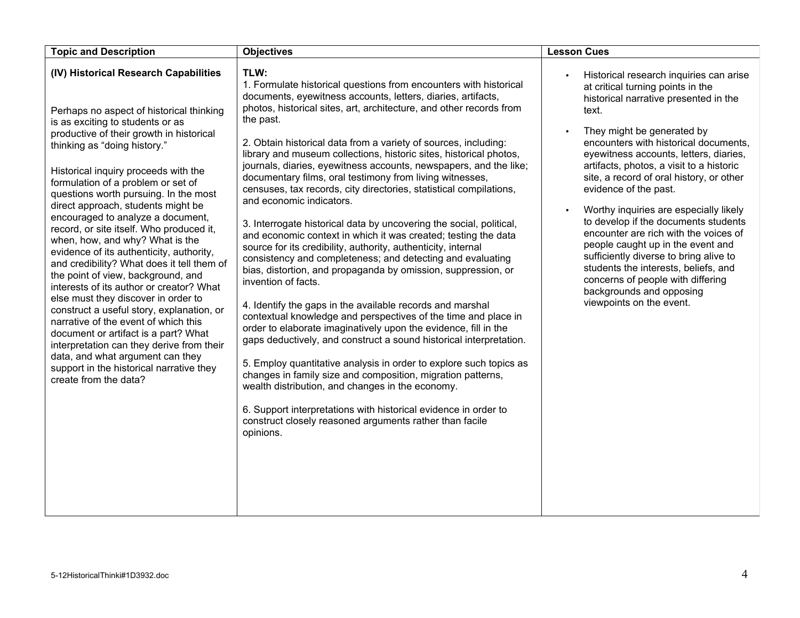| <b>Topic and Description</b>                                                                                                                                                                                                                                                                                                                                                                                                                                                                                                                                                                                                                                                                                                                                                                                                                                                                                                                                                             | <b>Objectives</b>                                                                                                                                                                                                                                                                                                                                                                                                                                                                                                                                                                                                                                                                                                                                                                                                                                                                                                                                                                                                                                                                                                                                                                                                                                                                                                                                                                                                                                                                                                                                                                     | <b>Lesson Cues</b>                                                                                                                                                                                                                                                                                                                                                                                                                                                                                                                                                                                                                                                                                              |
|------------------------------------------------------------------------------------------------------------------------------------------------------------------------------------------------------------------------------------------------------------------------------------------------------------------------------------------------------------------------------------------------------------------------------------------------------------------------------------------------------------------------------------------------------------------------------------------------------------------------------------------------------------------------------------------------------------------------------------------------------------------------------------------------------------------------------------------------------------------------------------------------------------------------------------------------------------------------------------------|---------------------------------------------------------------------------------------------------------------------------------------------------------------------------------------------------------------------------------------------------------------------------------------------------------------------------------------------------------------------------------------------------------------------------------------------------------------------------------------------------------------------------------------------------------------------------------------------------------------------------------------------------------------------------------------------------------------------------------------------------------------------------------------------------------------------------------------------------------------------------------------------------------------------------------------------------------------------------------------------------------------------------------------------------------------------------------------------------------------------------------------------------------------------------------------------------------------------------------------------------------------------------------------------------------------------------------------------------------------------------------------------------------------------------------------------------------------------------------------------------------------------------------------------------------------------------------------|-----------------------------------------------------------------------------------------------------------------------------------------------------------------------------------------------------------------------------------------------------------------------------------------------------------------------------------------------------------------------------------------------------------------------------------------------------------------------------------------------------------------------------------------------------------------------------------------------------------------------------------------------------------------------------------------------------------------|
| (IV) Historical Research Capabilities<br>Perhaps no aspect of historical thinking<br>is as exciting to students or as<br>productive of their growth in historical<br>thinking as "doing history."<br>Historical inquiry proceeds with the<br>formulation of a problem or set of<br>questions worth pursuing. In the most<br>direct approach, students might be<br>encouraged to analyze a document,<br>record, or site itself. Who produced it,<br>when, how, and why? What is the<br>evidence of its authenticity, authority,<br>and credibility? What does it tell them of<br>the point of view, background, and<br>interests of its author or creator? What<br>else must they discover in order to<br>construct a useful story, explanation, or<br>narrative of the event of which this<br>document or artifact is a part? What<br>interpretation can they derive from their<br>data, and what argument can they<br>support in the historical narrative they<br>create from the data? | TLW:<br>1. Formulate historical questions from encounters with historical<br>documents, eyewitness accounts, letters, diaries, artifacts,<br>photos, historical sites, art, architecture, and other records from<br>the past.<br>2. Obtain historical data from a variety of sources, including:<br>library and museum collections, historic sites, historical photos,<br>journals, diaries, eyewitness accounts, newspapers, and the like;<br>documentary films, oral testimony from living witnesses,<br>censuses, tax records, city directories, statistical compilations,<br>and economic indicators.<br>3. Interrogate historical data by uncovering the social, political,<br>and economic context in which it was created; testing the data<br>source for its credibility, authority, authenticity, internal<br>consistency and completeness; and detecting and evaluating<br>bias, distortion, and propaganda by omission, suppression, or<br>invention of facts.<br>4. Identify the gaps in the available records and marshal<br>contextual knowledge and perspectives of the time and place in<br>order to elaborate imaginatively upon the evidence, fill in the<br>gaps deductively, and construct a sound historical interpretation.<br>5. Employ quantitative analysis in order to explore such topics as<br>changes in family size and composition, migration patterns,<br>wealth distribution, and changes in the economy.<br>6. Support interpretations with historical evidence in order to<br>construct closely reasoned arguments rather than facile<br>opinions. | Historical research inquiries can arise<br>at critical turning points in the<br>historical narrative presented in the<br>text.<br>They might be generated by<br>encounters with historical documents,<br>eyewitness accounts, letters, diaries,<br>artifacts, photos, a visit to a historic<br>site, a record of oral history, or other<br>evidence of the past.<br>Worthy inquiries are especially likely<br>to develop if the documents students<br>encounter are rich with the voices of<br>people caught up in the event and<br>sufficiently diverse to bring alive to<br>students the interests, beliefs, and<br>concerns of people with differing<br>backgrounds and opposing<br>viewpoints on the event. |